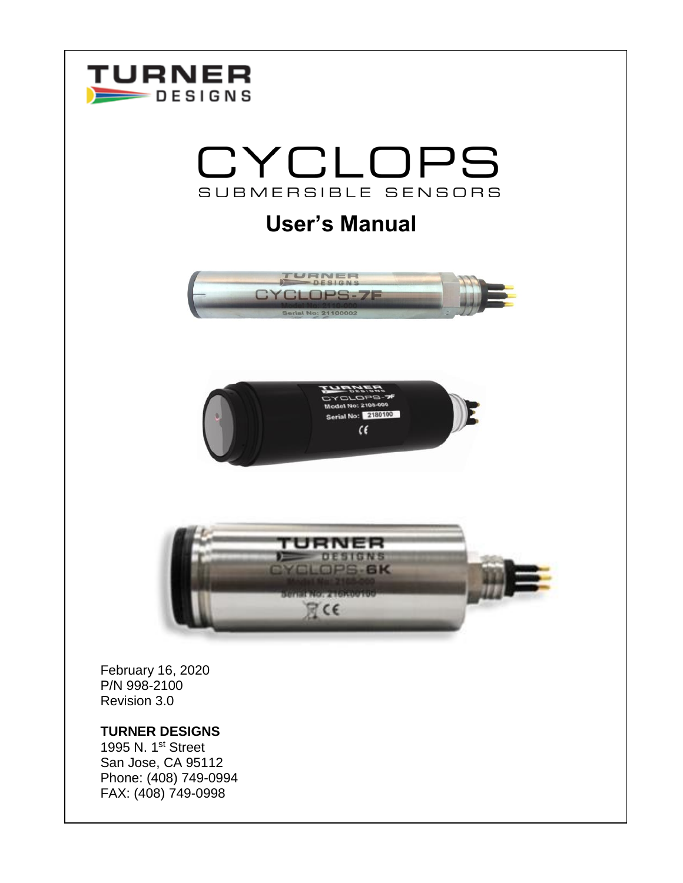

February 16, 2020 P/N 998-2100 Revision 3.0

# **TURNER DESIGNS**

1995 N. 1<sup>st</sup> Street San Jose, CA 95112 Phone: (408) 749-0994 FAX: (408) 749-0998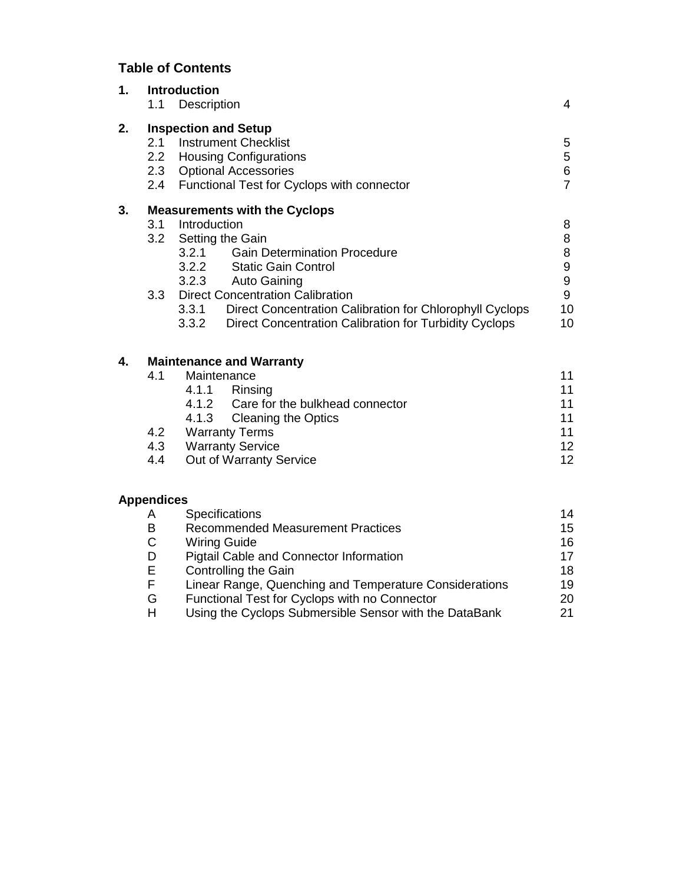# **Table of Contents**

| 1. | 1.1        | <b>Introduction</b><br>Description                                                                                                                                                                                                      | 4                                       |
|----|------------|-----------------------------------------------------------------------------------------------------------------------------------------------------------------------------------------------------------------------------------------|-----------------------------------------|
| 2. | 2.1<br>2.2 | <b>Inspection and Setup</b><br><b>Instrument Checklist</b><br><b>Housing Configurations</b>                                                                                                                                             | 5<br>5                                  |
|    | 2.3<br>2.4 | <b>Optional Accessories</b><br>Functional Test for Cyclops with connector                                                                                                                                                               | 6<br>$\overline{7}$                     |
| 3. | 3.1<br>3.3 | <b>Measurements with the Cyclops</b><br>Introduction<br>3.2 Setting the Gain<br><b>Gain Determination Procedure</b><br>3.2.1<br><b>Static Gain Control</b><br>3.2.2<br>3.2.3<br>Auto Gaining<br><b>Direct Concentration Calibration</b> | 8<br>8<br>8<br>9<br>$\overline{9}$<br>9 |
|    |            | 3.3.1<br>Direct Concentration Calibration for Chlorophyll Cyclops<br>Direct Concentration Calibration for Turbidity Cyclops<br>3.3.2                                                                                                    | 10<br>10                                |
|    |            | $M$ eintenenee enal $M$ errentu                                                                                                                                                                                                         |                                         |

| 4. | <b>Maintenance and Warranty</b> |                                          |    |  |  |
|----|---------------------------------|------------------------------------------|----|--|--|
|    | 4.1                             | Maintenance                              | 11 |  |  |
|    |                                 | 4.1.1 Rinsing                            | 11 |  |  |
|    |                                 | Care for the bulkhead connector<br>4.1.2 | 11 |  |  |
|    |                                 | 4.1.3 Cleaning the Optics                | 11 |  |  |
|    | 4.2                             | <b>Warranty Terms</b>                    | 11 |  |  |
|    | 4.3                             | <b>Warranty Service</b>                  | 12 |  |  |
|    | 4.4                             | Out of Warranty Service                  | 12 |  |  |

# **Appendices**

| A  | <b>Specifications</b>                                  | 14 |
|----|--------------------------------------------------------|----|
| В  | <b>Recommended Measurement Practices</b>               | 15 |
| C  | <b>Wiring Guide</b>                                    | 16 |
|    | Pigtail Cable and Connector Information                | 17 |
| E  | Controlling the Gain                                   | 18 |
| F. | Linear Range, Quenching and Temperature Considerations | 19 |
| G  | Functional Test for Cyclops with no Connector          | 20 |
| н  | Using the Cyclops Submersible Sensor with the DataBank | 21 |
|    |                                                        |    |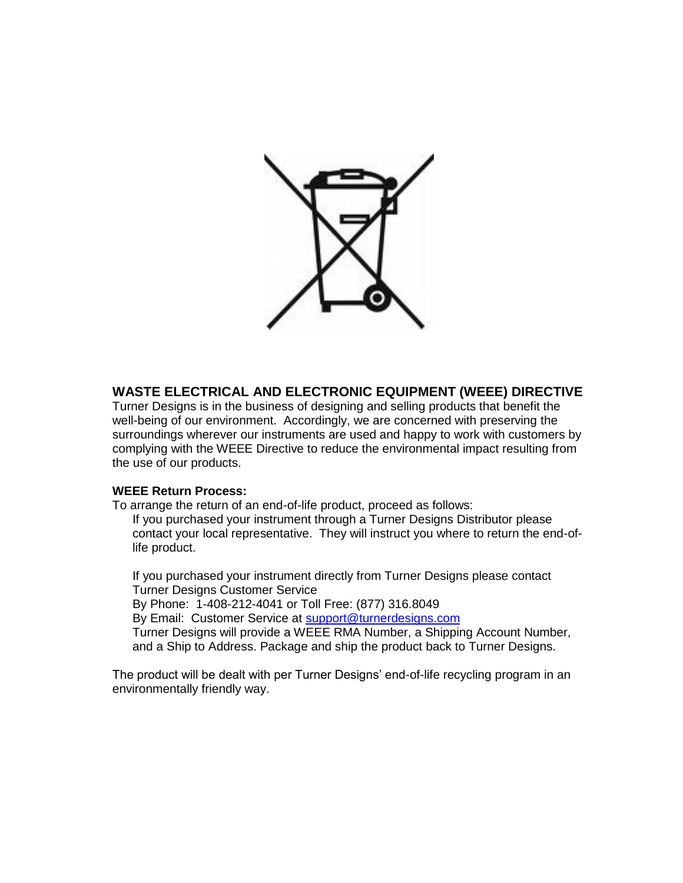

# **WASTE ELECTRICAL AND ELECTRONIC EQUIPMENT (WEEE) DIRECTIVE**

Turner Designs is in the business of designing and selling products that benefit the well-being of our environment. Accordingly, we are concerned with preserving the surroundings wherever our instruments are used and happy to work with customers by complying with the WEEE Directive to reduce the environmental impact resulting from the use of our products.

### **WEEE Return Process:**

To arrange the return of an end-of-life product, proceed as follows:

If you purchased your instrument through a Turner Designs Distributor please contact your local representative. They will instruct you where to return the end-oflife product.

If you purchased your instrument directly from Turner Designs please contact Turner Designs Customer Service By Phone: 1-408-212-4041 or Toll Free: (877) 316.8049 By Email: Customer Service at [support@turnerdesigns.com](mailto:support@turnerdesigns.com) Turner Designs will provide a WEEE RMA Number, a Shipping Account Number, and a Ship to Address. Package and ship the product back to Turner Designs.

The product will be dealt with per Turner Designs' end-of-life recycling program in an environmentally friendly way.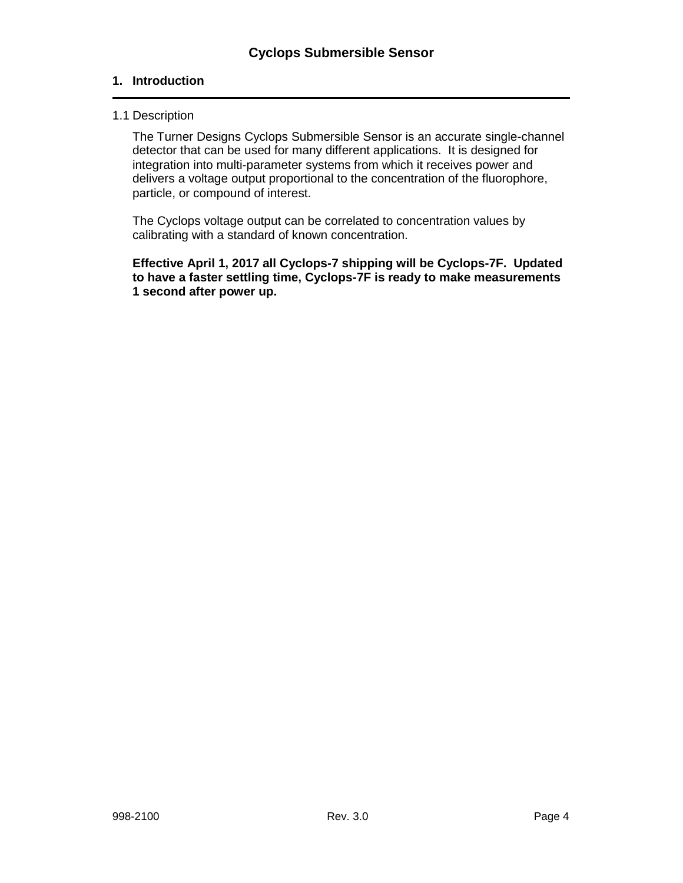## **1. Introduction**

### 1.1 Description

The Turner Designs Cyclops Submersible Sensor is an accurate single-channel detector that can be used for many different applications. It is designed for integration into multi-parameter systems from which it receives power and delivers a voltage output proportional to the concentration of the fluorophore, particle, or compound of interest.

The Cyclops voltage output can be correlated to concentration values by calibrating with a standard of known concentration.

**Effective April 1, 2017 all Cyclops-7 shipping will be Cyclops-7F. Updated to have a faster settling time, Cyclops-7F is ready to make measurements 1 second after power up.**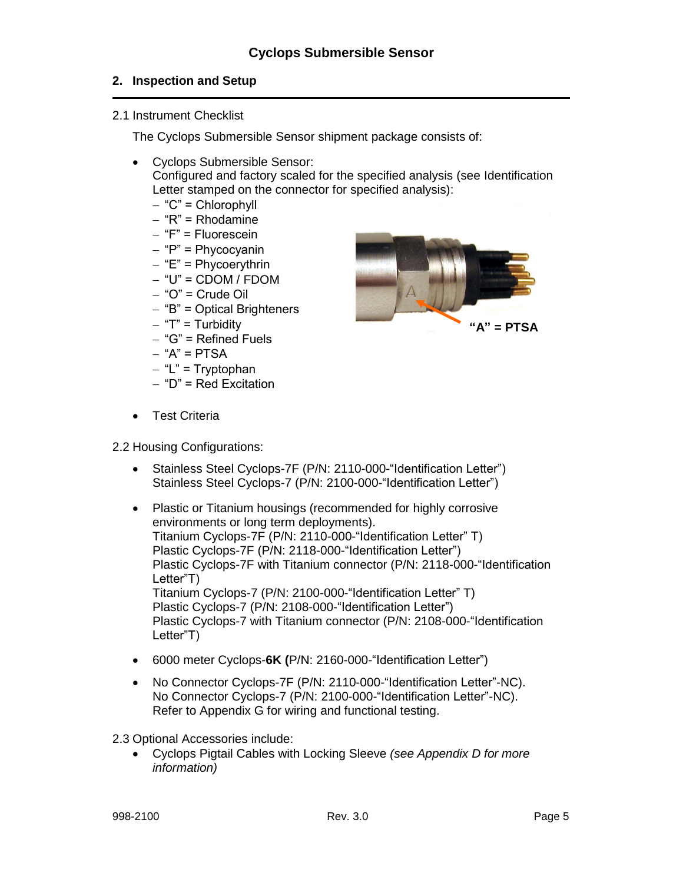# **2. Inspection and Setup**

### 2.1 Instrument Checklist

The Cyclops Submersible Sensor shipment package consists of:

- Cyclops Submersible Sensor: Configured and factory scaled for the specified analysis (see Identification Letter stamped on the connector for specified analysis):
	- $-$  "C" = Chlorophyll
	- $-$  "R" = Rhodamine
	- $-$  "F" = Fluorescein
	- $-$  "P" = Phycocyanin
	- $-$  "E" = Phycoerythrin
	- $-$  "U" = CDOM / FDOM
	- $-$  "O" = Crude Oil
	- $-$  "B" = Optical Brighteners
	- $-$  "T" = Turbidity
	- $-$  "G" = Refined Fuels
	- $-$  "A" = PTSA
	- $-$  "L" = Tryptophan
	- $-$  "D" = Red Excitation



Test Criteria

2.2 Housing Configurations:

- Stainless Steel Cyclops-7F (P/N: 2110-000-"Identification Letter") Stainless Steel Cyclops-7 (P/N: 2100-000-"Identification Letter")
- Plastic or Titanium housings (recommended for highly corrosive environments or long term deployments). Titanium Cyclops-7F (P/N: 2110-000-"Identification Letter" T) Plastic Cyclops-7F (P/N: 2118-000-"Identification Letter") Plastic Cyclops-7F with Titanium connector (P/N: 2118-000-"Identification Letter"T) Titanium Cyclops-7 (P/N: 2100-000-"Identification Letter" T) Plastic Cyclops-7 (P/N: 2108-000-"Identification Letter") Plastic Cyclops-7 with Titanium connector (P/N: 2108-000-"Identification Letter"T)
- 6000 meter Cyclops-**6K (**P/N: 2160-000-"Identification Letter")
- No Connector Cyclops-7F (P/N: 2110-000-"Identification Letter"-NC). No Connector Cyclops-7 (P/N: 2100-000-"Identification Letter"-NC). Refer to Appendix G for wiring and functional testing.

2.3 Optional Accessories include:

 Cyclops Pigtail Cables with Locking Sleeve *(see Appendix D for more information)*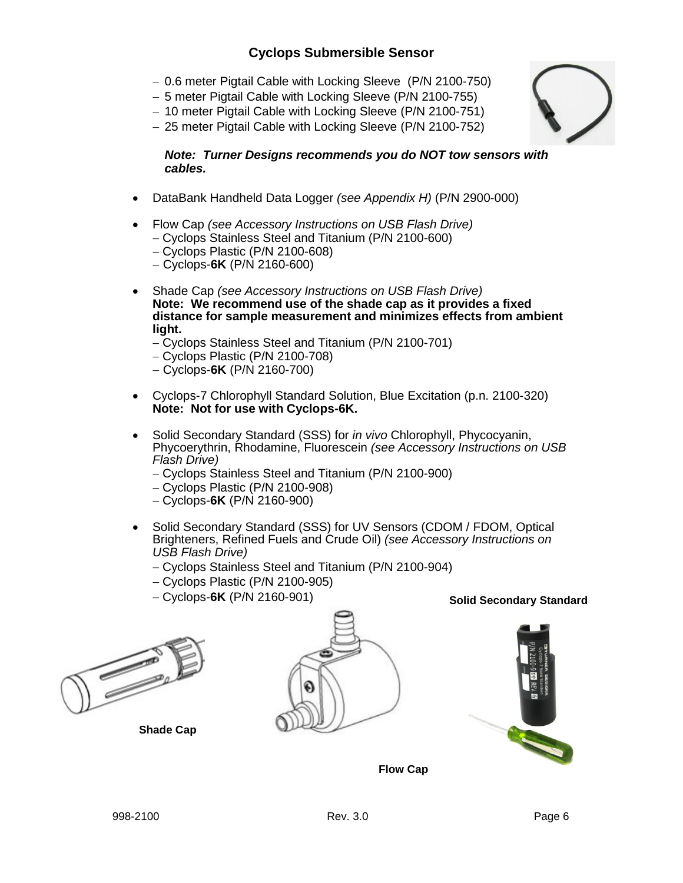# **Cyclops Submersible Sensor**

- 0.6 meter Pigtail Cable with Locking Sleeve (P/N 2100-750)
- 5 meter Pigtail Cable with Locking Sleeve (P/N 2100-755)
- 10 meter Pigtail Cable with Locking Sleeve (P/N 2100-751)
- 25 meter Pigtail Cable with Locking Sleeve (P/N 2100-752)

*Note: Turner Designs recommends you do NOT tow sensors with cables.*

- DataBank Handheld Data Logger *(see Appendix H)* (P/N 2900-000)
- Flow Cap *(see Accessory Instructions on USB Flash Drive)* Cyclops Stainless Steel and Titanium (P/N 2100-600)
	- $-$  Cyclops Plastic (P/N 2100-608)
	- Cyclops-**6K** (P/N 2160-600)
- Shade Cap *(see Accessory Instructions on USB Flash Drive)* **Note: We recommend use of the shade cap as it provides a fixed distance for sample measurement and minimizes effects from ambient light.**
	- Cyclops Stainless Steel and Titanium (P/N 2100-701)
	- $-$  Cyclops Plastic (P/N 2100-708)
	- Cyclops-**6K** (P/N 2160-700)
- Cyclops-7 Chlorophyll Standard Solution, Blue Excitation (p.n. 2100-320) **Note: Not for use with Cyclops-6K.**
- Solid Secondary Standard (SSS) for *in vivo* Chlorophyll, Phycocyanin, Phycoerythrin, Rhodamine, Fluorescein *(see Accessory Instructions on USB Flash Drive)*
	- Cyclops Stainless Steel and Titanium (P/N 2100-900)
	- Cyclops Plastic (P/N 2100-908)
	- Cyclops-**6K** (P/N 2160-900)
- Solid Secondary Standard (SSS) for UV Sensors (CDOM / FDOM, Optical Brighteners, Refined Fuels and Crude Oil) *(see Accessory Instructions on USB Flash Drive)*
	- Cyclops Stainless Steel and Titanium (P/N 2100-904)
	- Cyclops Plastic (P/N 2100-905)
	- Cyclops-**6K** (P/N 2160-901)



**Shade Cap**





**Flow Cap**

**Solid Secondary Standard**

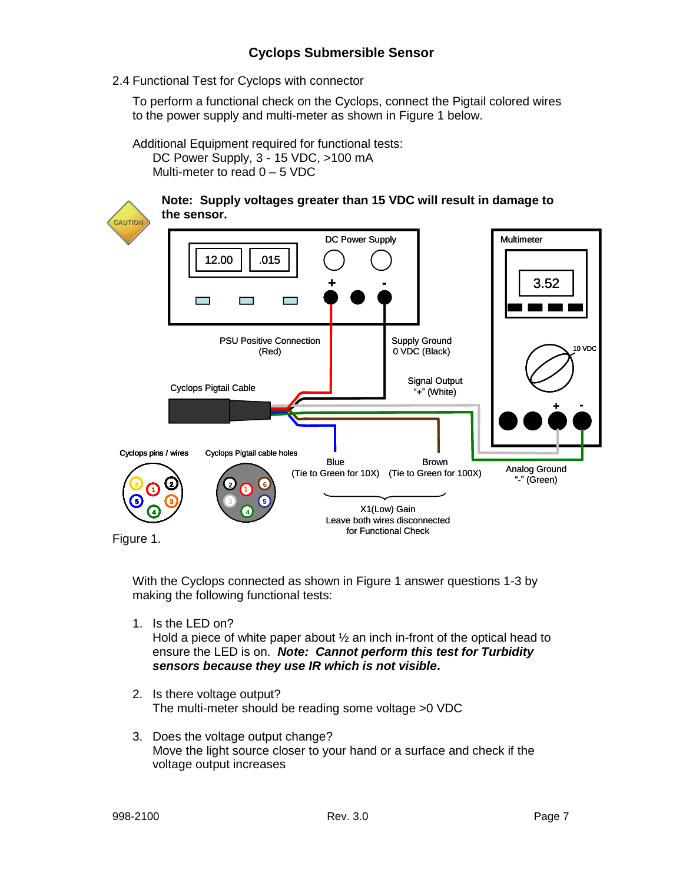2.4 Functional Test for Cyclops with connector

To perform a functional check on the Cyclops, connect the Pigtail colored wires to the power supply and multi-meter as shown in Figure 1 below.

Additional Equipment required for functional tests: DC Power Supply, 3 - 15 VDC, >100 mA Multi-meter to read  $0 - 5$  VDC



Figure 1.

With the Cyclops connected as shown in Figure 1 answer questions 1-3 by making the following functional tests:

1. Is the LED on?

Hold a piece of white paper about ½ an inch in-front of the optical head to ensure the LED is on. *Note: Cannot perform this test for Turbidity sensors because they use IR which is not visible***.**

- 2. Is there voltage output? The multi-meter should be reading some voltage >0 VDC
- 3. Does the voltage output change? Move the light source closer to your hand or a surface and check if the voltage output increases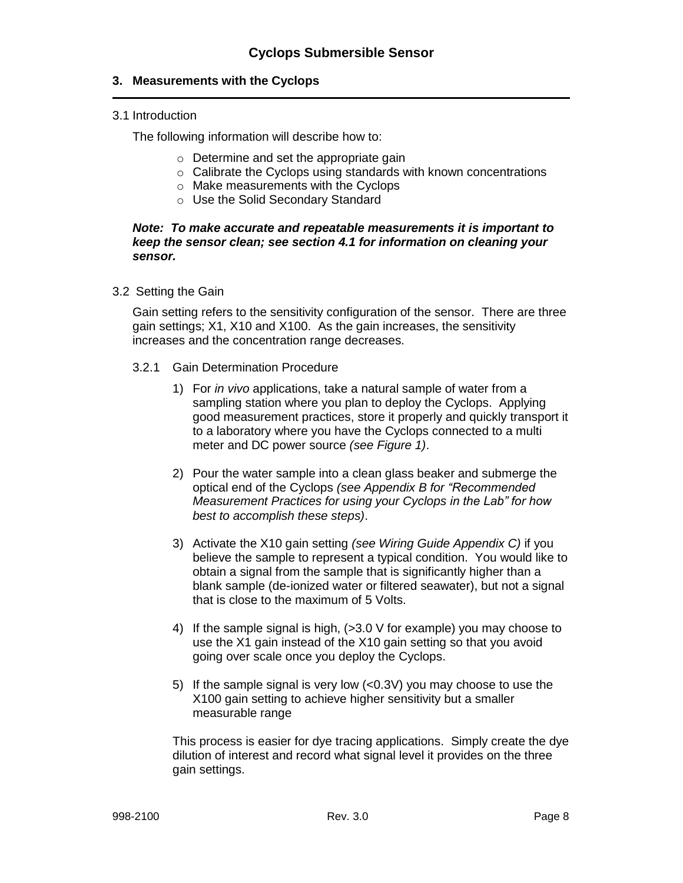# **3. Measurements with the Cyclops**

### 3.1 Introduction

The following information will describe how to:

- o Determine and set the appropriate gain
- o Calibrate the Cyclops using standards with known concentrations
- o Make measurements with the Cyclops
- o Use the Solid Secondary Standard

#### *Note: To make accurate and repeatable measurements it is important to keep the sensor clean; see section 4.1 for information on cleaning your sensor.*

3.2 Setting the Gain

Gain setting refers to the sensitivity configuration of the sensor. There are three gain settings; X1, X10 and X100. As the gain increases, the sensitivity increases and the concentration range decreases.

- 3.2.1 Gain Determination Procedure
	- 1) For *in vivo* applications, take a natural sample of water from a sampling station where you plan to deploy the Cyclops. Applying good measurement practices, store it properly and quickly transport it to a laboratory where you have the Cyclops connected to a multi meter and DC power source *(see Figure 1)*.
	- 2) Pour the water sample into a clean glass beaker and submerge the optical end of the Cyclops *(see Appendix B for "Recommended Measurement Practices for using your Cyclops in the Lab" for how best to accomplish these steps)*.
	- 3) Activate the X10 gain setting *(see Wiring Guide Appendix C)* if you believe the sample to represent a typical condition. You would like to obtain a signal from the sample that is significantly higher than a blank sample (de-ionized water or filtered seawater), but not a signal that is close to the maximum of 5 Volts.
	- 4) If the sample signal is high, (>3.0 V for example) you may choose to use the X1 gain instead of the X10 gain setting so that you avoid going over scale once you deploy the Cyclops.
	- 5) If the sample signal is very low (<0.3V) you may choose to use the X100 gain setting to achieve higher sensitivity but a smaller measurable range

This process is easier for dye tracing applications. Simply create the dye dilution of interest and record what signal level it provides on the three gain settings.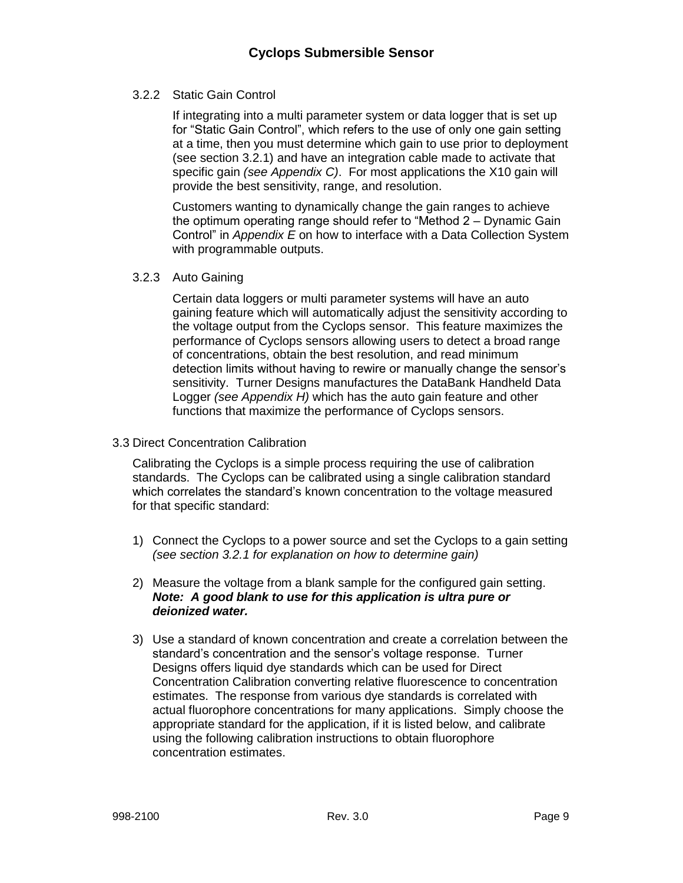## 3.2.2 Static Gain Control

If integrating into a multi parameter system or data logger that is set up for "Static Gain Control", which refers to the use of only one gain setting at a time, then you must determine which gain to use prior to deployment (see section 3.2.1) and have an integration cable made to activate that specific gain *(see Appendix C)*. For most applications the X10 gain will provide the best sensitivity, range, and resolution.

Customers wanting to dynamically change the gain ranges to achieve the optimum operating range should refer to "Method 2 – Dynamic Gain Control" in *Appendix E* on how to interface with a Data Collection System with programmable outputs.

### 3.2.3 Auto Gaining

Certain data loggers or multi parameter systems will have an auto gaining feature which will automatically adjust the sensitivity according to the voltage output from the Cyclops sensor. This feature maximizes the performance of Cyclops sensors allowing users to detect a broad range of concentrations, obtain the best resolution, and read minimum detection limits without having to rewire or manually change the sensor's sensitivity. Turner Designs manufactures the DataBank Handheld Data Logger *(see Appendix H)* which has the auto gain feature and other functions that maximize the performance of Cyclops sensors.

#### 3.3 Direct Concentration Calibration

Calibrating the Cyclops is a simple process requiring the use of calibration standards. The Cyclops can be calibrated using a single calibration standard which correlates the standard's known concentration to the voltage measured for that specific standard:

- 1) Connect the Cyclops to a power source and set the Cyclops to a gain setting *(see section 3.2.1 for explanation on how to determine gain)*
- 2) Measure the voltage from a blank sample for the configured gain setting. *Note: A good blank to use for this application is ultra pure or deionized water.*
- 3) Use a standard of known concentration and create a correlation between the standard's concentration and the sensor's voltage response. Turner Designs offers liquid dye standards which can be used for Direct Concentration Calibration converting relative fluorescence to concentration estimates. The response from various dye standards is correlated with actual fluorophore concentrations for many applications. Simply choose the appropriate standard for the application, if it is listed below, and calibrate using the following calibration instructions to obtain fluorophore concentration estimates.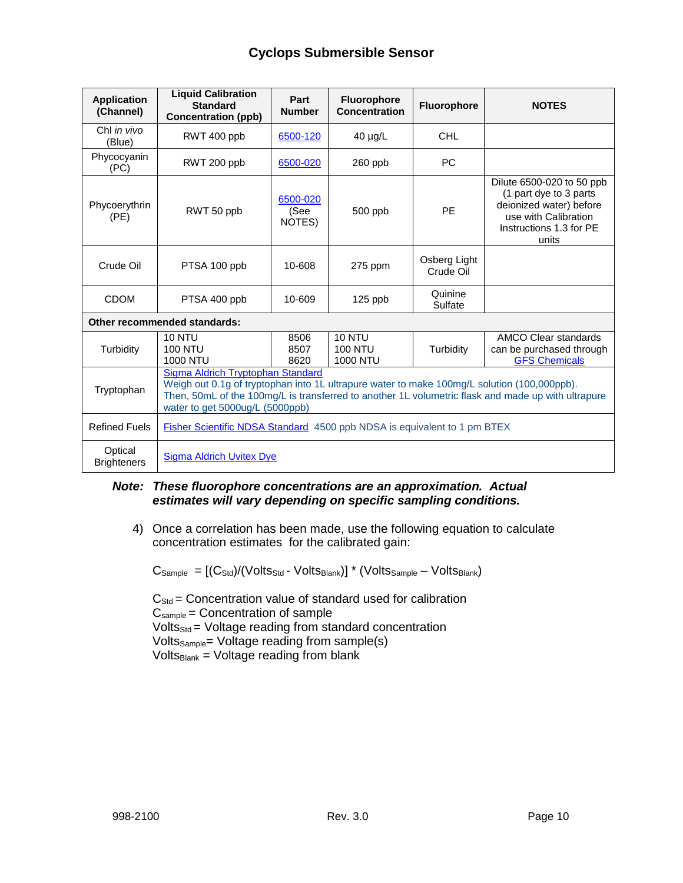| <b>Application</b><br>(Channel)                                                                                                                                                                                                                                                         | <b>Liquid Calibration</b><br><b>Standard</b><br><b>Concentration (ppb)</b> | Part<br><b>Number</b>      | <b>Fluorophore</b><br>Concentration                | <b>Fluorophore</b>        | <b>NOTES</b>                                                                                                                               |
|-----------------------------------------------------------------------------------------------------------------------------------------------------------------------------------------------------------------------------------------------------------------------------------------|----------------------------------------------------------------------------|----------------------------|----------------------------------------------------|---------------------------|--------------------------------------------------------------------------------------------------------------------------------------------|
| Chl in vivo<br>(Blue)                                                                                                                                                                                                                                                                   | RWT 400 ppb                                                                | 6500-120                   | $40 \mu g/L$                                       | <b>CHL</b>                |                                                                                                                                            |
| Phycocyanin<br>(PC)                                                                                                                                                                                                                                                                     | RWT 200 ppb                                                                | 6500-020                   | 260 ppb                                            | <b>PC</b>                 |                                                                                                                                            |
| Phycoerythrin<br>(PE)                                                                                                                                                                                                                                                                   | RWT 50 ppb                                                                 | 6500-020<br>(See<br>NOTES) | 500 ppb                                            | PE                        | Dilute 6500-020 to 50 ppb<br>(1 part dye to 3 parts<br>deionized water) before<br>use with Calibration<br>Instructions 1.3 for PE<br>units |
| Crude Oil                                                                                                                                                                                                                                                                               | PTSA 100 ppb                                                               | 10-608                     | 275 ppm                                            | Osberg Light<br>Crude Oil |                                                                                                                                            |
| <b>CDOM</b>                                                                                                                                                                                                                                                                             | PTSA 400 ppb                                                               | 10-609                     | $125$ ppb                                          | Quinine<br>Sulfate        |                                                                                                                                            |
|                                                                                                                                                                                                                                                                                         | Other recommended standards:                                               |                            |                                                    |                           |                                                                                                                                            |
| Turbidity                                                                                                                                                                                                                                                                               | <b>10 NTU</b><br><b>100 NTU</b><br><b>1000 NTU</b>                         | 8506<br>8507<br>8620       | <b>10 NTU</b><br><b>100 NTU</b><br><b>1000 NTU</b> | Turbidity                 | AMCO Clear standards<br>can be purchased through<br><b>GFS Chemicals</b>                                                                   |
| Sigma Aldrich Tryptophan Standard<br>Weigh out 0.1g of tryptophan into 1L ultrapure water to make 100mg/L solution (100,000ppb).<br>Tryptophan<br>Then, 50mL of the 100mg/L is transferred to another 1L volumetric flask and made up with ultrapure<br>water to get 5000ug/L (5000ppb) |                                                                            |                            |                                                    |                           |                                                                                                                                            |
| <b>Refined Fuels</b>                                                                                                                                                                                                                                                                    | Fisher Scientific NDSA Standard 4500 ppb NDSA is equivalent to 1 pm BTEX   |                            |                                                    |                           |                                                                                                                                            |
| Optical<br><b>Brighteners</b>                                                                                                                                                                                                                                                           | <b>Sigma Aldrich Uvitex Dye</b>                                            |                            |                                                    |                           |                                                                                                                                            |

#### *Note: These fluorophore concentrations are an approximation. Actual estimates will vary depending on specific sampling conditions.*

4) Once a correlation has been made, use the following equation to calculate concentration estimates for the calibrated gain:

 $C_{\text{Sample}} = [(C_{\text{Std}})/( \text{Volts}_{\text{Std}} - \text{Volts}_{\text{Blank}})] * ( \text{Volts}_{\text{Sample}} - \text{Volts}_{\text{Blank}})$ 

 $C_{\text{Std}}$  = Concentration value of standard used for calibration Csample = Concentration of sample  $Volts<sub>Std</sub> = Voltage reading from standard concentration$ Volts<sub>Sample</sub>= Voltage reading from sample(s)  $Volts<sub>blank</sub> = Voltage reading from blank$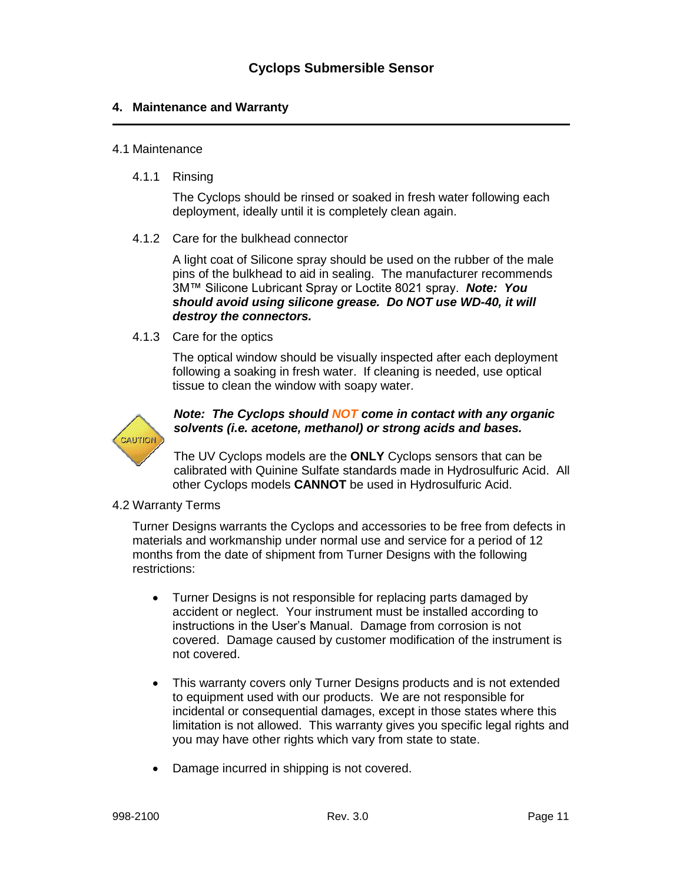## **4. Maintenance and Warranty**

#### 4.1 Maintenance

4.1.1 Rinsing

The Cyclops should be rinsed or soaked in fresh water following each deployment, ideally until it is completely clean again.

### 4.1.2 Care for the bulkhead connector

A light coat of Silicone spray should be used on the rubber of the male pins of the bulkhead to aid in sealing. The manufacturer recommends 3M™ Silicone Lubricant Spray or Loctite 8021 spray. *Note: You should avoid using silicone grease. Do NOT use WD-40, it will destroy the connectors.*

4.1.3 Care for the optics

The optical window should be visually inspected after each deployment following a soaking in fresh water. If cleaning is needed, use optical tissue to clean the window with soapy water.



# *Note: The Cyclops should NOT come in contact with any organic solvents (i.e. acetone, methanol) or strong acids and bases.*

The UV Cyclops models are the **ONLY** Cyclops sensors that can be calibrated with Quinine Sulfate standards made in Hydrosulfuric Acid. All other Cyclops models **CANNOT** be used in Hydrosulfuric Acid.

#### 4.2 Warranty Terms

Turner Designs warrants the Cyclops and accessories to be free from defects in materials and workmanship under normal use and service for a period of 12 months from the date of shipment from Turner Designs with the following restrictions:

- Turner Designs is not responsible for replacing parts damaged by accident or neglect. Your instrument must be installed according to instructions in the User's Manual. Damage from corrosion is not covered. Damage caused by customer modification of the instrument is not covered.
- This warranty covers only Turner Designs products and is not extended to equipment used with our products. We are not responsible for incidental or consequential damages, except in those states where this limitation is not allowed. This warranty gives you specific legal rights and you may have other rights which vary from state to state.
- Damage incurred in shipping is not covered.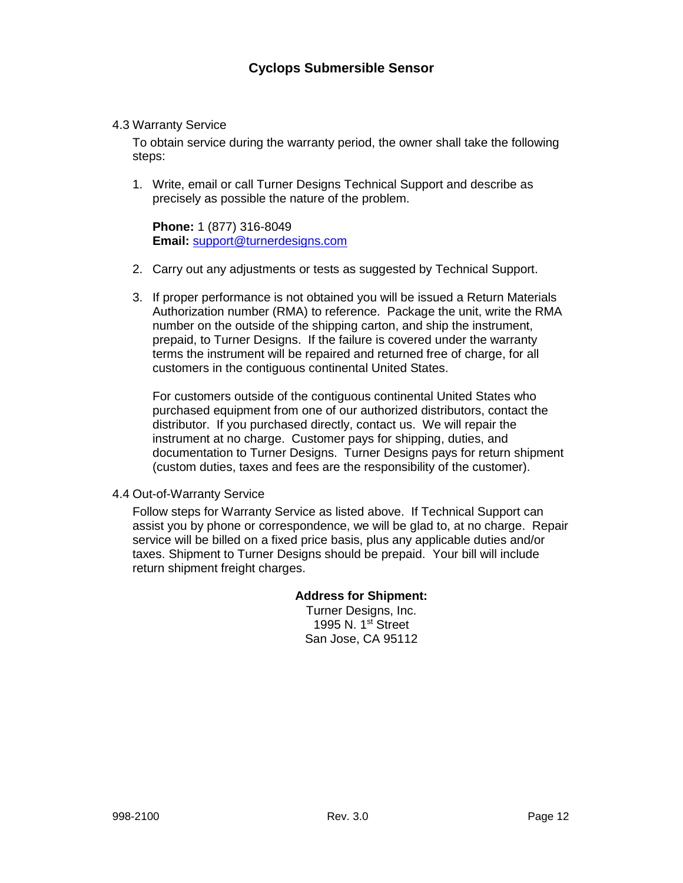## 4.3 Warranty Service

To obtain service during the warranty period, the owner shall take the following steps:

1. Write, email or call Turner Designs Technical Support and describe as precisely as possible the nature of the problem.

**Phone:** 1 (877) 316-8049 **Email:** [support@turnerdesigns.com](mailto:support@turnerdesigns.com)

- 2. Carry out any adjustments or tests as suggested by Technical Support.
- 3. If proper performance is not obtained you will be issued a Return Materials Authorization number (RMA) to reference. Package the unit, write the RMA number on the outside of the shipping carton, and ship the instrument, prepaid, to Turner Designs. If the failure is covered under the warranty terms the instrument will be repaired and returned free of charge, for all customers in the contiguous continental United States.

For customers outside of the contiguous continental United States who purchased equipment from one of our authorized distributors, contact the distributor. If you purchased directly, contact us. We will repair the instrument at no charge. Customer pays for shipping, duties, and documentation to Turner Designs. Turner Designs pays for return shipment (custom duties, taxes and fees are the responsibility of the customer).

4.4 Out-of-Warranty Service

Follow steps for Warranty Service as listed above. If Technical Support can assist you by phone or correspondence, we will be glad to, at no charge. Repair service will be billed on a fixed price basis, plus any applicable duties and/or taxes. Shipment to Turner Designs should be prepaid. Your bill will include return shipment freight charges.

## **Address for Shipment:**

Turner Designs, Inc. 1995 N. 1<sup>st</sup> Street San Jose, CA 95112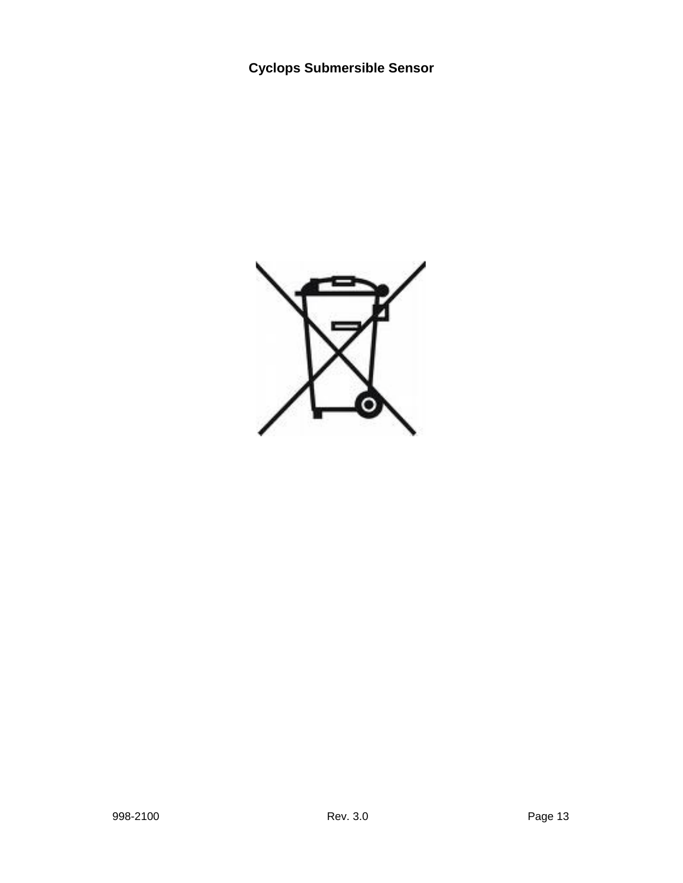**Cyclops Submersible Sensor**

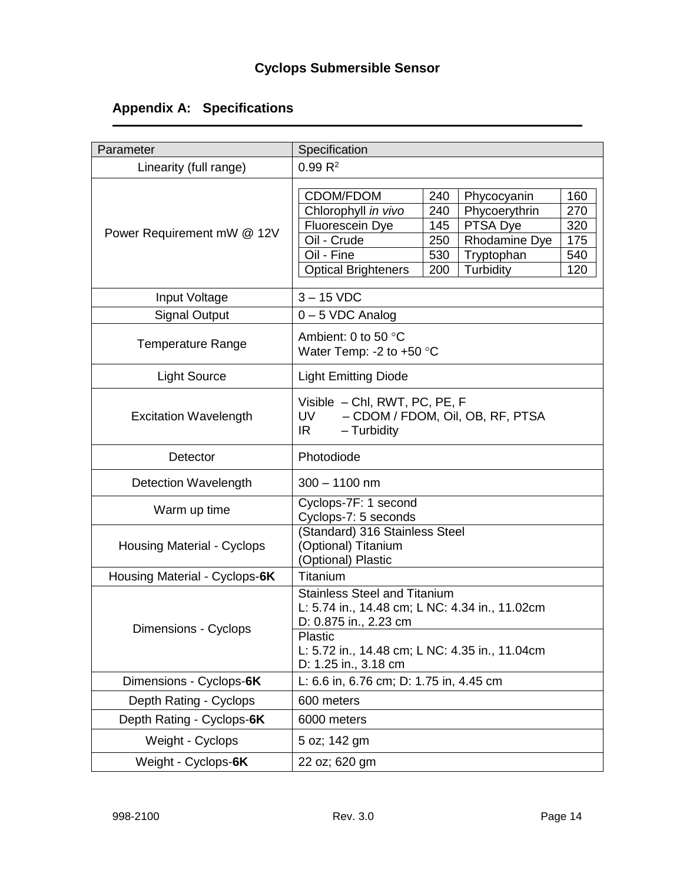| Parameter                                                          | Specification                                                |     |               |     |
|--------------------------------------------------------------------|--------------------------------------------------------------|-----|---------------|-----|
| Linearity (full range)                                             | 0.99 R <sup>2</sup>                                          |     |               |     |
|                                                                    |                                                              |     |               |     |
|                                                                    | <b>CDOM/FDOM</b>                                             | 240 | Phycocyanin   | 160 |
|                                                                    | Chlorophyll in vivo                                          | 240 | Phycoerythrin | 270 |
| Power Requirement mW @ 12V                                         | Fluorescein Dye                                              | 145 | PTSA Dye      | 320 |
|                                                                    | Oil - Crude                                                  | 250 | Rhodamine Dye | 175 |
|                                                                    | Oil - Fine                                                   | 530 | Tryptophan    | 540 |
|                                                                    | <b>Optical Brighteners</b>                                   | 200 | Turbidity     | 120 |
| Input Voltage                                                      | $3 - 15$ VDC                                                 |     |               |     |
| <b>Signal Output</b>                                               | $0 - 5$ VDC Analog                                           |     |               |     |
|                                                                    | Ambient: 0 to 50 °C                                          |     |               |     |
| <b>Temperature Range</b>                                           | Water Temp: -2 to +50 $\degree$ C                            |     |               |     |
| <b>Light Source</b>                                                | <b>Light Emitting Diode</b>                                  |     |               |     |
| <b>Excitation Wavelength</b>                                       | Visible - Chl, RWT, PC, PE, F                                |     |               |     |
|                                                                    | - CDOM / FDOM, Oil, OB, RF, PTSA<br>UV<br>IR.<br>- Turbidity |     |               |     |
| Detector                                                           | Photodiode                                                   |     |               |     |
| Detection Wavelength                                               | $300 - 1100$ nm                                              |     |               |     |
| Warm up time                                                       | Cyclops-7F: 1 second<br>Cyclops-7: 5 seconds                 |     |               |     |
|                                                                    | (Standard) 316 Stainless Steel                               |     |               |     |
| <b>Housing Material - Cyclops</b>                                  | (Optional) Titanium<br>(Optional) Plastic                    |     |               |     |
| Housing Material - Cyclops-6K                                      | <b>Titanium</b>                                              |     |               |     |
|                                                                    | <b>Stainless Steel and Titanium</b>                          |     |               |     |
|                                                                    | L: 5.74 in., 14.48 cm; L NC: 4.34 in., 11.02cm               |     |               |     |
| Dimensions - Cyclops                                               | D: 0.875 in., 2.23 cm                                        |     |               |     |
|                                                                    | Plastic                                                      |     |               |     |
|                                                                    | L: 5.72 in., 14.48 cm; L NC: 4.35 in., 11.04cm               |     |               |     |
|                                                                    | D: 1.25 in., 3.18 cm                                         |     |               |     |
| Dimensions - Cyclops-6K<br>L: 6.6 in, 6.76 cm; D: 1.75 in, 4.45 cm |                                                              |     |               |     |
| Depth Rating - Cyclops                                             | 600 meters                                                   |     |               |     |
| Depth Rating - Cyclops-6K                                          | 6000 meters                                                  |     |               |     |
| Weight - Cyclops                                                   | 5 oz; 142 gm                                                 |     |               |     |
| Weight - Cyclops-6K                                                | 22 oz; 620 gm                                                |     |               |     |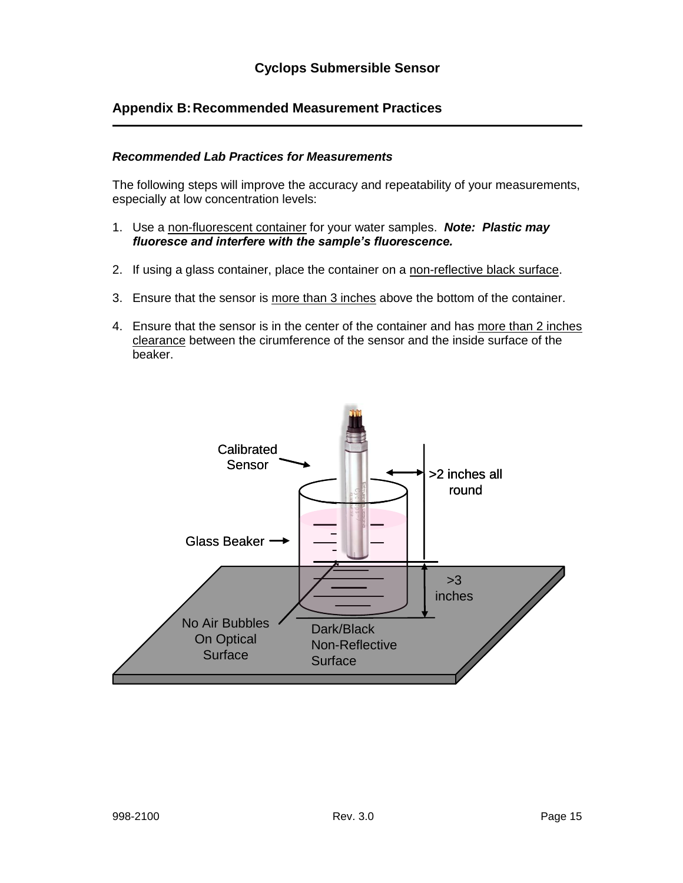# **Appendix B:Recommended Measurement Practices**

## *Recommended Lab Practices for Measurements*

The following steps will improve the accuracy and repeatability of your measurements, especially at low concentration levels:

- 1. Use a non-fluorescent container for your water samples. *Note: Plastic may fluoresce and interfere with the sample's fluorescence.*
- 2. If using a glass container, place the container on a non-reflective black surface.
- 3. Ensure that the sensor is more than 3 inches above the bottom of the container.
- 4. Ensure that the sensor is in the center of the container and has more than 2 inches clearance between the cirumference of the sensor and the inside surface of the beaker.

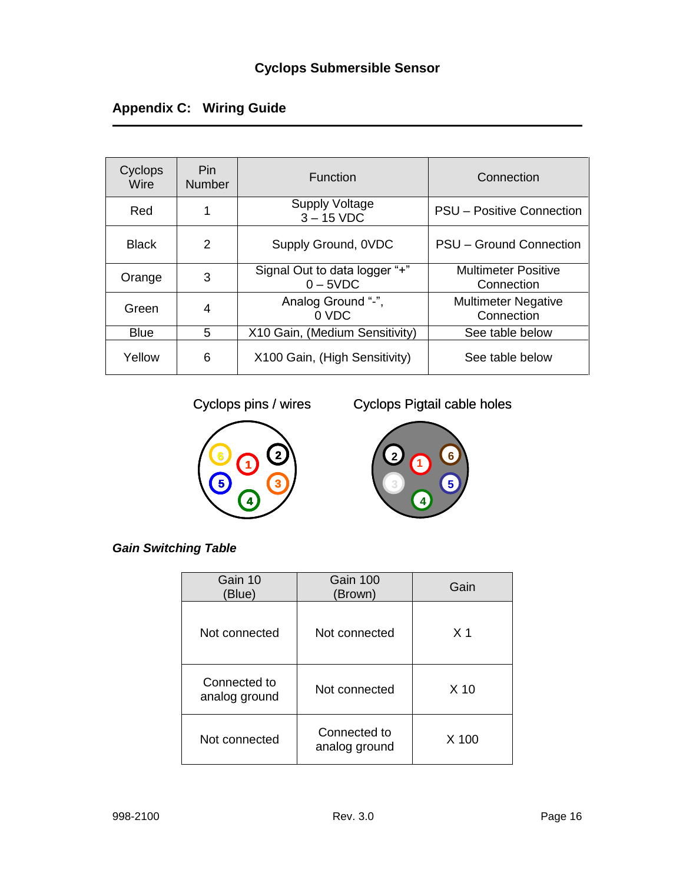| Cyclops<br>Wire | Pin.<br><b>Number</b> | <b>Function</b>                             | Connection                               |
|-----------------|-----------------------|---------------------------------------------|------------------------------------------|
| Red             |                       | <b>Supply Voltage</b><br>$3 - 15$ VDC       | <b>PSU</b> – Positive Connection         |
| <b>Black</b>    | 2                     | Supply Ground, OVDC                         | <b>PSU</b> – Ground Connection           |
| Orange          | 3                     | Signal Out to data logger "+"<br>$0 - 5VDC$ | <b>Multimeter Positive</b><br>Connection |
| Green           | 4                     | Analog Ground "-",<br>0 VDC                 | <b>Multimeter Negative</b><br>Connection |
| <b>Blue</b>     | 5                     | X10 Gain, (Medium Sensitivity)              | See table below                          |
| Yellow          | 6                     | X100 Gain, (High Sensitivity)               | See table below                          |

# **Appendix C: Wiring Guide**

Cyclops pins / wires



Cyclops Pigtail cable holes



# *Gain Switching Table*

| Gain 10<br>(Blue)             | Gain 100<br>(Brown)           | Gain           |
|-------------------------------|-------------------------------|----------------|
| Not connected                 | Not connected                 | X <sub>1</sub> |
| Connected to<br>analog ground | Not connected                 | $X$ 10         |
| Not connected                 | Connected to<br>analog ground | X 100          |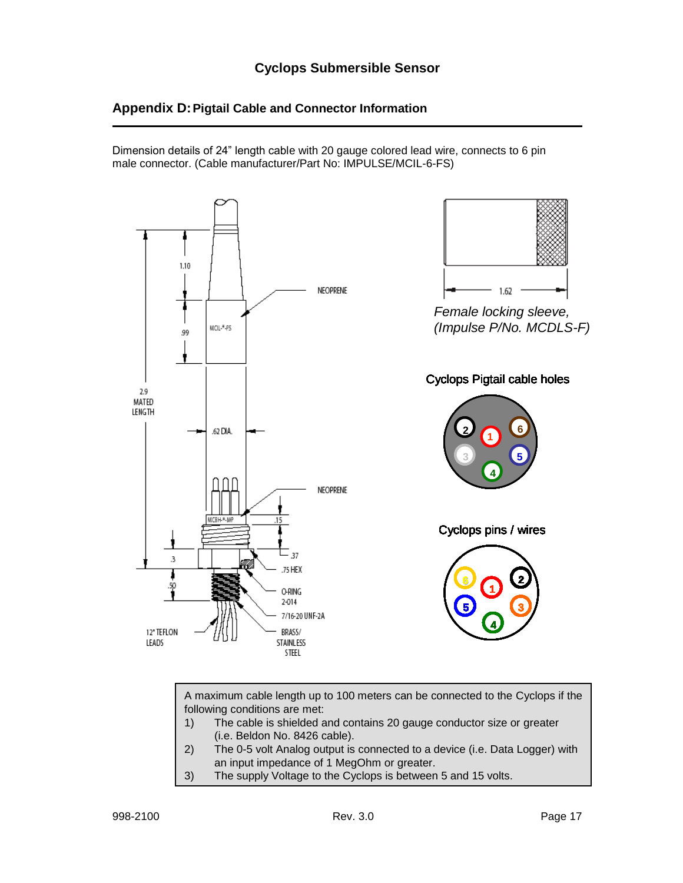# **Appendix D:Pigtail Cable and Connector Information**

Dimension details of 24" length cable with 20 gauge colored lead wire, connects to 6 pin male connector. (Cable manufacturer/Part No: IMPULSE/MCIL-6-FS)





*Female locking sleeve, (Impulse P/No. MCDLS-F)*

## Cyclops Pigtail cable holes



Cyclops pins / wires



A maximum cable length up to 100 meters can be connected to the Cyclops if the following conditions are met:

- 1) The cable is shielded and contains 20 gauge conductor size or greater (i.e. Beldon No. 8426 cable).
- 2) The 0-5 volt Analog output is connected to a device (i.e. Data Logger) with an input impedance of 1 MegOhm or greater.
- 3) The supply Voltage to the Cyclops is between 5 and 15 volts.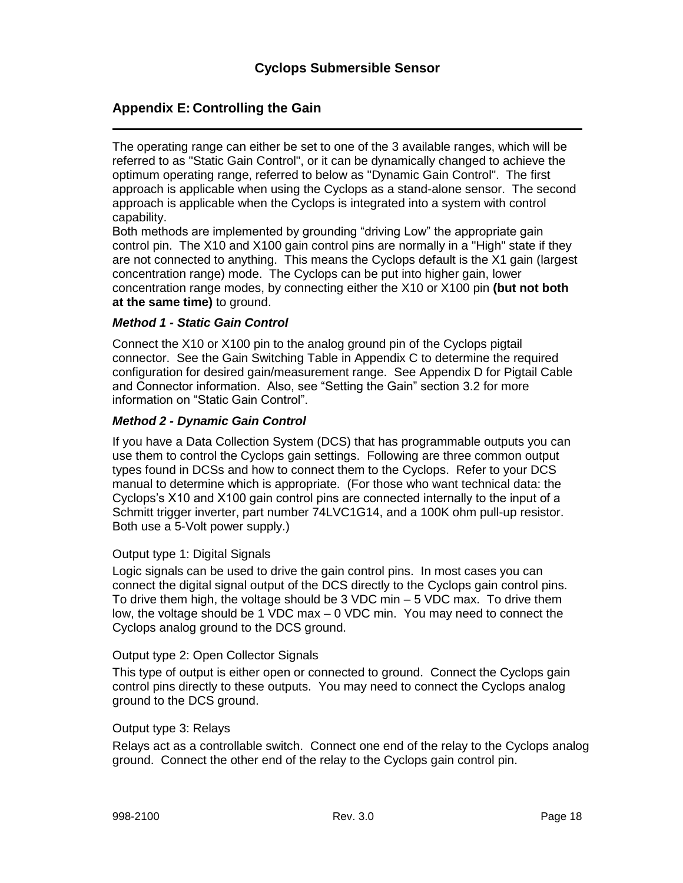# **Appendix E: Controlling the Gain**

The operating range can either be set to one of the 3 available ranges, which will be referred to as "Static Gain Control", or it can be dynamically changed to achieve the optimum operating range, referred to below as "Dynamic Gain Control". The first approach is applicable when using the Cyclops as a stand-alone sensor. The second approach is applicable when the Cyclops is integrated into a system with control capability.

Both methods are implemented by grounding "driving Low" the appropriate gain control pin. The X10 and X100 gain control pins are normally in a "High" state if they are not connected to anything. This means the Cyclops default is the X1 gain (largest concentration range) mode. The Cyclops can be put into higher gain, lower concentration range modes, by connecting either the X10 or X100 pin **(but not both at the same time)** to ground.

### *Method 1 - Static Gain Control*

Connect the X10 or X100 pin to the analog ground pin of the Cyclops pigtail connector. See the Gain Switching Table in Appendix C to determine the required configuration for desired gain/measurement range. See Appendix D for Pigtail Cable and Connector information. Also, see "Setting the Gain" section 3.2 for more information on "Static Gain Control".

#### *Method 2 - Dynamic Gain Control*

If you have a Data Collection System (DCS) that has programmable outputs you can use them to control the Cyclops gain settings. Following are three common output types found in DCSs and how to connect them to the Cyclops. Refer to your DCS manual to determine which is appropriate. (For those who want technical data: the Cyclops's X10 and X100 gain control pins are connected internally to the input of a Schmitt trigger inverter, part number 74LVC1G14, and a 100K ohm pull-up resistor. Both use a 5-Volt power supply.)

#### Output type 1: Digital Signals

Logic signals can be used to drive the gain control pins. In most cases you can connect the digital signal output of the DCS directly to the Cyclops gain control pins. To drive them high, the voltage should be 3 VDC min – 5 VDC max. To drive them low, the voltage should be 1 VDC max – 0 VDC min. You may need to connect the Cyclops analog ground to the DCS ground.

#### Output type 2: Open Collector Signals

This type of output is either open or connected to ground. Connect the Cyclops gain control pins directly to these outputs. You may need to connect the Cyclops analog ground to the DCS ground.

#### Output type 3: Relays

Relays act as a controllable switch. Connect one end of the relay to the Cyclops analog ground. Connect the other end of the relay to the Cyclops gain control pin.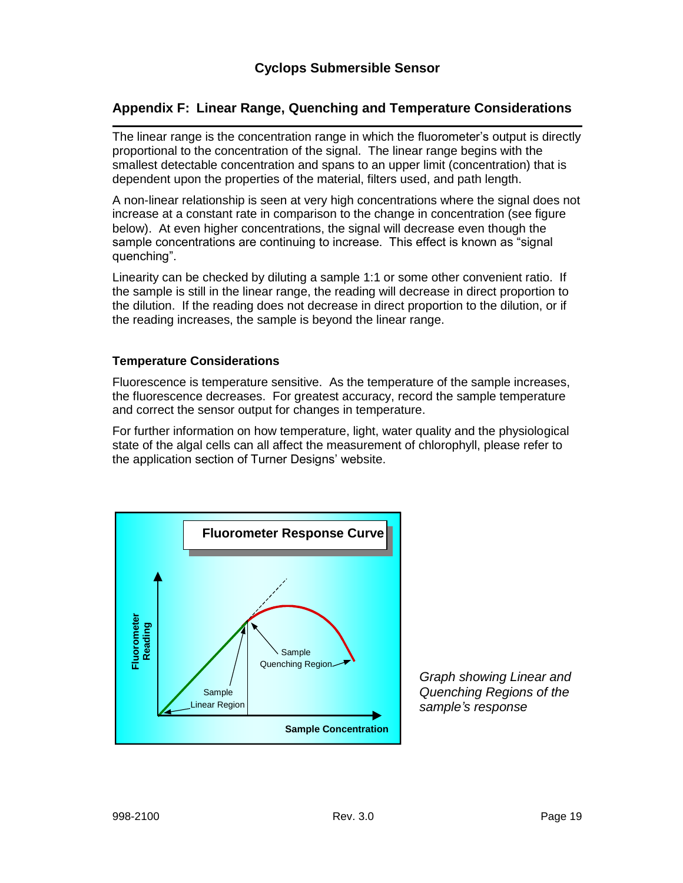# **Appendix F: Linear Range, Quenching and Temperature Considerations**

The linear range is the concentration range in which the fluorometer's output is directly proportional to the concentration of the signal. The linear range begins with the smallest detectable concentration and spans to an upper limit (concentration) that is dependent upon the properties of the material, filters used, and path length.

A non-linear relationship is seen at very high concentrations where the signal does not increase at a constant rate in comparison to the change in concentration (see figure below). At even higher concentrations, the signal will decrease even though the sample concentrations are continuing to increase. This effect is known as "signal quenching".

Linearity can be checked by diluting a sample 1:1 or some other convenient ratio. If the sample is still in the linear range, the reading will decrease in direct proportion to the dilution. If the reading does not decrease in direct proportion to the dilution, or if the reading increases, the sample is beyond the linear range.

## **Temperature Considerations**

Fluorescence is temperature sensitive. As the temperature of the sample increases, the fluorescence decreases. For greatest accuracy, record the sample temperature and correct the sensor output for changes in temperature.

For further information on how temperature, light, water quality and the physiological state of the algal cells can all affect the measurement of chlorophyll, please refer to the application section of Turner Designs' website.



*Graph showing Linear and Quenching Regions of the sample's response*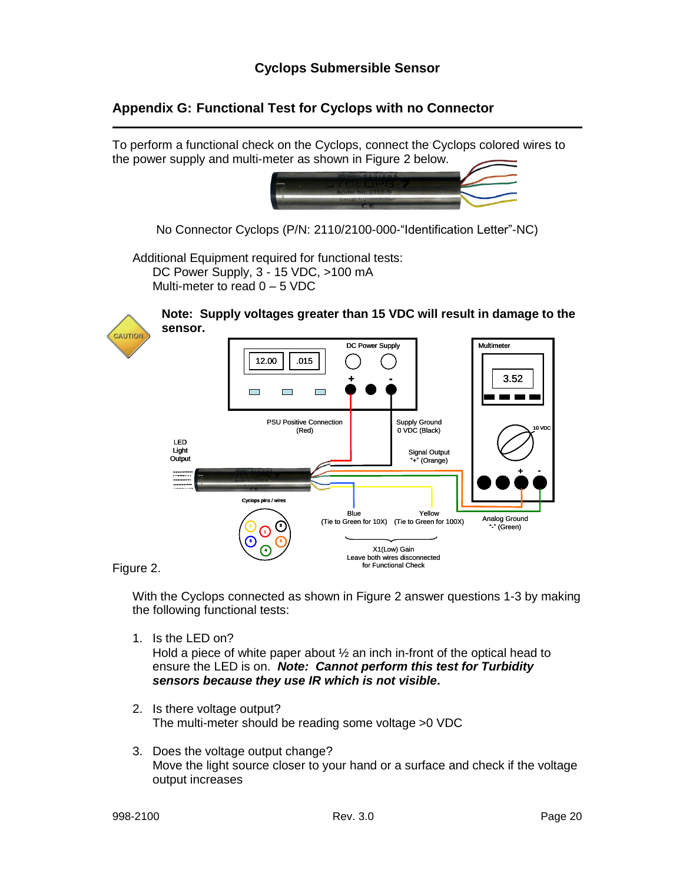# **Cyclops Submersible Sensor**

# **Appendix G: Functional Test for Cyclops with no Connector**

To perform a functional check on the Cyclops, connect the Cyclops colored wires to the power supply and multi-meter as shown in Figure 2 below.



No Connector Cyclops (P/N: 2110/2100-000-"Identification Letter"-NC)

Additional Equipment required for functional tests: DC Power Supply, 3 - 15 VDC, >100 mA Multi-meter to read 0 – 5 VDC



Figure 2.

With the Cyclops connected as shown in Figure 2 answer questions 1-3 by making the following functional tests:

1. Is the LED on?

Hold a piece of white paper about ½ an inch in-front of the optical head to ensure the LED is on. *Note: Cannot perform this test for Turbidity sensors because they use IR which is not visible***.** 

- 2. Is there voltage output? The multi-meter should be reading some voltage >0 VDC
- 3. Does the voltage output change? Move the light source closer to your hand or a surface and check if the voltage output increases